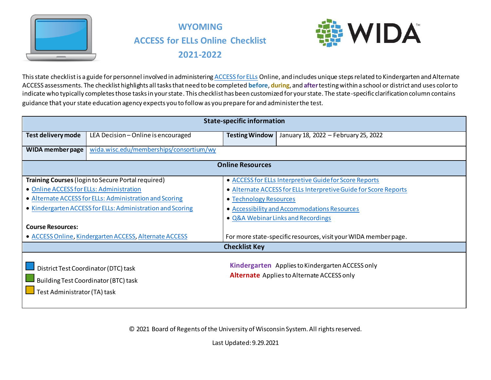



This state checklist is a guide for personnel involved in administerin[g ACCESS for ELLs](https://wida.wisc.edu/assess/access) Online, and includes unique steps related to Kindergarten and Alternate ACCESS assessments. The checklist highlights all tasks that need to be completed **before**, **during**, and **after**testing within a school or district and uses color to indicate who typically completes those tasks in your state. This checklist has been customized for your state. The state-specific clarification column contains guidance that your state education agency expects you to follow as you prepare for and administer the test.

|                                          | <b>State-specific information</b>                                            |                                              |                                                                                                       |  |  |  |
|------------------------------------------|------------------------------------------------------------------------------|----------------------------------------------|-------------------------------------------------------------------------------------------------------|--|--|--|
| Test delivery mode                       | LEA Decision - Online is encouraged                                          | <b>Testing Window</b>                        | January 18, 2022 - February 25, 2022                                                                  |  |  |  |
| <b>WIDA member page</b>                  | wida.wisc.edu/memberships/consortium/wy                                      |                                              |                                                                                                       |  |  |  |
|                                          |                                                                              | <b>Online Resources</b>                      |                                                                                                       |  |  |  |
|                                          | Training Courses (login to Secure Portal required)                           |                                              | • ACCESS for ELLs Interpretive Guide for Score Reports                                                |  |  |  |
| • Online ACCESS for ELLs: Administration |                                                                              |                                              | • Alternate ACCESS for ELLs Interpretive Guide for Score Reports                                      |  |  |  |
|                                          | • Alternate ACCESS for ELLs: Administration and Scoring                      | • Technology Resources                       |                                                                                                       |  |  |  |
|                                          | • Kindergarten ACCESS for ELLs: Administration and Scoring                   | • Accessibility and Accommodations Resources |                                                                                                       |  |  |  |
|                                          |                                                                              |                                              | • Q&A Webinar Links and Recordings                                                                    |  |  |  |
| <b>Course Resources:</b>                 |                                                                              |                                              |                                                                                                       |  |  |  |
|                                          | • ACCESS Online, Kindergarten ACCESS, Alternate ACCESS                       |                                              | For more state-specific resources, visit your WIDA member page.                                       |  |  |  |
|                                          |                                                                              | <b>Checklist Key</b>                         |                                                                                                       |  |  |  |
| Test Administrator (TA) task             | District Test Coordinator (DTC) task<br>Building Test Coordinator (BTC) task |                                              | Kindergarten Applies to Kindergarten ACCESS only<br><b>Alternate</b> Applies to Alternate ACCESS only |  |  |  |

© 2021 Board of Regents of the University of Wisconsin System. All rights reserved.

Last Updated: 9.29.2021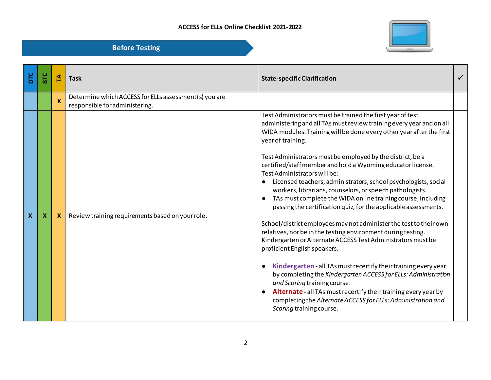

| ЪLС | БU | 도                         | <b>Task</b>                                                                             | <b>State-specific Clarification</b>                                                                                                                                                                                                                                                                                                                                                                                                                                                                                                                                                                                                                                                                                                                                                                                                                                                                                                                                                                                                                                                                                                                                                                                                     |  |
|-----|----|---------------------------|-----------------------------------------------------------------------------------------|-----------------------------------------------------------------------------------------------------------------------------------------------------------------------------------------------------------------------------------------------------------------------------------------------------------------------------------------------------------------------------------------------------------------------------------------------------------------------------------------------------------------------------------------------------------------------------------------------------------------------------------------------------------------------------------------------------------------------------------------------------------------------------------------------------------------------------------------------------------------------------------------------------------------------------------------------------------------------------------------------------------------------------------------------------------------------------------------------------------------------------------------------------------------------------------------------------------------------------------------|--|
|     |    | $\boldsymbol{\mathsf{X}}$ | Determine which ACCESS for ELLs assessment(s) you are<br>responsible for administering. |                                                                                                                                                                                                                                                                                                                                                                                                                                                                                                                                                                                                                                                                                                                                                                                                                                                                                                                                                                                                                                                                                                                                                                                                                                         |  |
| X   | х  | X                         | Review training requirements based on your role.                                        | Test Administrators must be trained the first year of test<br>administering and all TAs must review training every year and on all<br>WIDA modules. Training will be done every other year after the first<br>year of training.<br>Test Administrators must be employed by the district, be a<br>certified/staffmember and hold a Wyoming educator license.<br>Test Administrators will be:<br>Licensed teachers, administrators, school psychologists, social<br>workers, librarians, counselors, or speech pathologists.<br>TAs must complete the WIDA online training course, including<br>passing the certification quiz, for the applicable assessments.<br>School/district employees may not administer the test to their own<br>relatives, nor be in the testing environment during testing.<br>Kindergarten or Alternate ACCESS Test Administrators must be<br>proficient English speakers.<br>Kindergarten - all TAs must recertify their training every year<br>by completing the Kindergarten ACCESS for ELLs: Administration<br>and Scoring training course.<br>Alternate - all TAs must recertify their training every year by<br>completing the Alternate ACCESS for ELLs: Administration and<br>Scoring training course. |  |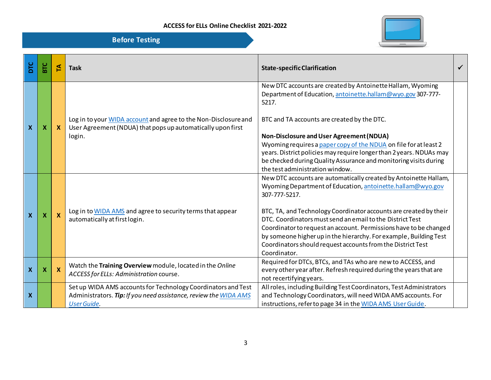

| <b>Before Testing</b> |  |
|-----------------------|--|
|                       |  |
|                       |  |
|                       |  |

| ЪLС                       | ΞC | ₹            | <b>Task</b>                                                                                                                                             | <b>State-specific Clarification</b>                                                                                                                                                                                                                                                                                                                                                                                                                                                                        |  |
|---------------------------|----|--------------|---------------------------------------------------------------------------------------------------------------------------------------------------------|------------------------------------------------------------------------------------------------------------------------------------------------------------------------------------------------------------------------------------------------------------------------------------------------------------------------------------------------------------------------------------------------------------------------------------------------------------------------------------------------------------|--|
| $\boldsymbol{\mathsf{x}}$ | X  | $\mathbf{x}$ | Log in to your WIDA account and agree to the Non-Disclosure and<br>User Agreement (NDUA) that pops up automatically upon first<br>login.                | New DTC accounts are created by Antoinette Hallam, Wyoming<br>Department of Education, antoinette.hallam@wyo.gov 307-777-<br>5217.<br>BTC and TA accounts are created by the DTC.<br>Non-Disclosure and User Agreement (NDUA)<br>Wyoming requires a paper copy of the NDUA on file for at least 2<br>years. District policies may require longer than 2 years. NDUAs may<br>be checked during Quality Assurance and monitoring visits during<br>the test administration window.                            |  |
| $\boldsymbol{\mathsf{x}}$ | X  | <b>X</b>     | Log in to WIDA AMS and agree to security terms that appear<br>automatically at first login.                                                             | New DTC accounts are automatically created by Antoinette Hallam,<br>Wyoming Department of Education, antoinette.hallam@wyo.gov<br>307-777-5217.<br>BTC, TA, and Technology Coordinator accounts are created by their<br>DTC. Coordinators must send an email to the District Test<br>Coordinator to request an account. Permissions have to be changed<br>by someone higher up in the hierarchy. For example, Building Test<br>Coordinators should request accounts from the District Test<br>Coordinator. |  |
| $\boldsymbol{\mathsf{X}}$ | X  | <b>X</b>     | Watch the Training Overview module, located in the Online<br>ACCESS for ELLs: Administration course.                                                    | Required for DTCs, BTCs, and TAs who are new to ACCESS, and<br>every other year after. Refresh required during the years that are<br>not recertifying years.                                                                                                                                                                                                                                                                                                                                               |  |
| $\boldsymbol{\mathsf{x}}$ |    |              | Set up WIDA AMS accounts for Technology Coordinators and Test<br>Administrators. Tip: If you need assistance, review the WIDA AMS<br><b>User Guide.</b> | All roles, including Building Test Coordinators, Test Administrators<br>and Technology Coordinators, will need WIDA AMS accounts. For<br>instructions, refer to page 34 in the WIDA AMS User Guide.                                                                                                                                                                                                                                                                                                        |  |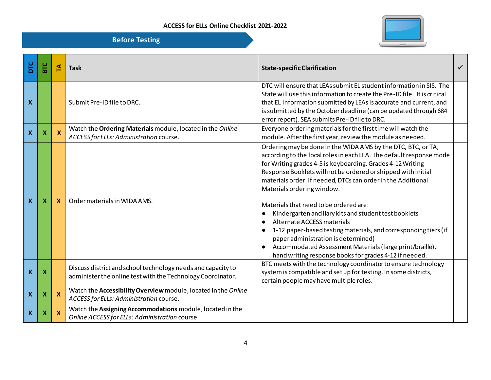

| DTC                       | <b>BTC</b> | 집                         | <b>Task</b>                                                                                                                 | <b>State-specific Clarification</b>                                                                                                                                                                                                                                                                                                                                                                                                                                                                                                                                                                                                                                                                                               |  |
|---------------------------|------------|---------------------------|-----------------------------------------------------------------------------------------------------------------------------|-----------------------------------------------------------------------------------------------------------------------------------------------------------------------------------------------------------------------------------------------------------------------------------------------------------------------------------------------------------------------------------------------------------------------------------------------------------------------------------------------------------------------------------------------------------------------------------------------------------------------------------------------------------------------------------------------------------------------------------|--|
| $\boldsymbol{\mathsf{x}}$ |            |                           | Submit Pre-ID file to DRC.                                                                                                  | DTC will ensure that LEAs submit EL student information in SIS. The<br>State will use this information to create the Pre-ID file. It is critical<br>that EL information submitted by LEAs is accurate and current, and<br>is submitted by the October deadline (can be updated through 684<br>error report). SEA submits Pre-ID file to DRC.                                                                                                                                                                                                                                                                                                                                                                                      |  |
| $\boldsymbol{\mathsf{X}}$ | X          | X                         | Watch the Ordering Materials module, located in the Online<br>ACCESS for ELLs: Administration course.                       | Everyone ordering materials for the first time will watch the<br>module. After the first year, review the module as needed.                                                                                                                                                                                                                                                                                                                                                                                                                                                                                                                                                                                                       |  |
| $\boldsymbol{\mathsf{X}}$ | X          | X                         | Order materials in WIDA AMS.                                                                                                | Ordering may be done in the WIDA AMS by the DTC, BTC, or TA,<br>according to the local roles in each LEA. The default response mode<br>for Writing grades 4-5 is keyboarding. Grades 4-12 Writing<br>Response Booklets will not be ordered or shipped with initial<br>materials order. If needed, DTCs can order in the Additional<br>Materials ordering window.<br>Materials that need to be ordered are:<br>Kindergarten ancillary kits and student test booklets<br>Alternate ACCESS materials<br>1-12 paper-based testing materials, and corresponding tiers (if<br>paper administration is determined)<br>Accommodated Assessment Materials (large print/braille),<br>hand writing response books for grades 4-12 if needed. |  |
| $\boldsymbol{\mathsf{x}}$ | X          |                           | Discuss district and school technology needs and capacity to<br>administer the online test with the Technology Coordinator. | BTC meets with the technology coordinator to ensure technology<br>system is compatible and set up for testing. In some districts,<br>certain people may have multiple roles.                                                                                                                                                                                                                                                                                                                                                                                                                                                                                                                                                      |  |
| $\boldsymbol{\mathsf{X}}$ | X          | $\boldsymbol{\mathsf{x}}$ | Watch the Accessibility Overview module, located in the Online<br>ACCESS for ELLs: Administration course.                   |                                                                                                                                                                                                                                                                                                                                                                                                                                                                                                                                                                                                                                                                                                                                   |  |
| $\boldsymbol{\mathsf{x}}$ | X          | X                         | Watch the Assigning Accommodations module, located in the<br>Online ACCESS for ELLs: Administration course.                 |                                                                                                                                                                                                                                                                                                                                                                                                                                                                                                                                                                                                                                                                                                                                   |  |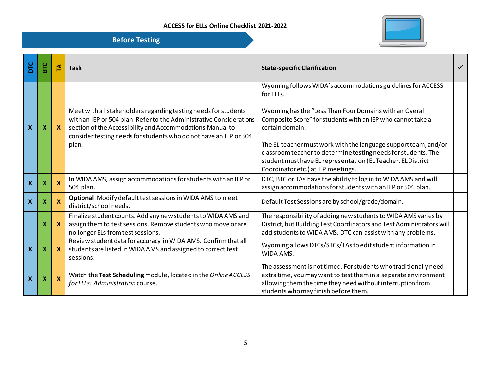

| ЪLС                       | Бrc                       | 된            | <b>Task</b>                                                                                                                                                                                                                                                                       | <b>State-specific Clarification</b>                                                                                                                                                                                                                                                                                                                                                                                                                              |  |
|---------------------------|---------------------------|--------------|-----------------------------------------------------------------------------------------------------------------------------------------------------------------------------------------------------------------------------------------------------------------------------------|------------------------------------------------------------------------------------------------------------------------------------------------------------------------------------------------------------------------------------------------------------------------------------------------------------------------------------------------------------------------------------------------------------------------------------------------------------------|--|
| $\boldsymbol{\mathsf{x}}$ | $\boldsymbol{\mathsf{x}}$ | $\mathbf{x}$ | Meet with all stakeholders regarding testing needs for students<br>with an IEP or 504 plan. Refer to the Administrative Considerations<br>section of the Accessibility and Accommodations Manual to<br>consider testing needs for students who do not have an IEP or 504<br>plan. | Wyoming follows WIDA's accommodations guidelines for ACCESS<br>for ELLs.<br>Wyoming has the "Less Than Four Domains with an Overall<br>Composite Score" for students with an IEP who cannot take a<br>certain domain.<br>The EL teacher must work with the language support team, and/or<br>classroom teacher to determine testing needs for students. The<br>student must have EL representation (EL Teacher, EL District<br>Coordinator etc.) at IEP meetings. |  |
| $\mathbf{x}$              | $\boldsymbol{X}$          | X            | In WIDA AMS, assign accommodations for students with an IEP or<br>504 plan.                                                                                                                                                                                                       | DTC, BTC or TAs have the ability to log in to WIDA AMS and will<br>assign accommodations for students with an IEP or 504 plan.                                                                                                                                                                                                                                                                                                                                   |  |
| $\boldsymbol{\mathsf{x}}$ | $\boldsymbol{X}$          | <b>X</b>     | Optional: Modify default test sessions in WIDA AMS to meet<br>district/school needs.                                                                                                                                                                                              | Default Test Sessions are by school/grade/domain.                                                                                                                                                                                                                                                                                                                                                                                                                |  |
|                           | $\boldsymbol{\mathsf{x}}$ | $\mathbf{X}$ | Finalize student counts. Add any new students to WIDA AMS and<br>assign them to test sessions. Remove students who move or are<br>no longer ELs from test sessions.                                                                                                               | The responsibility of adding new students to WIDA AMS varies by<br>District, but Building Test Coordinators and Test Administrators will<br>add students to WIDA AMS. DTC can assist with any problems.                                                                                                                                                                                                                                                          |  |
| $\boldsymbol{X}$          | $\boldsymbol{\mathsf{x}}$ | $\mathbf{x}$ | Review student data for accuracy in WIDA AMS. Confirm that all<br>students are listed in WIDA AMS and assigned to correct test<br>sessions.                                                                                                                                       | Wyoming allows DTCs/STCs/TAs to edit student information in<br>WIDA AMS.                                                                                                                                                                                                                                                                                                                                                                                         |  |
| $\boldsymbol{\mathsf{x}}$ | X                         | $\mathbf{x}$ | Watch the Test Scheduling module, located in the Online ACCESS<br>for ELLs: Administration course.                                                                                                                                                                                | The assessment is not timed. For students who traditionally need<br>extratime, you may want to test them in a separate environment<br>allowing them the time they need without interruption from<br>students who may finish before them.                                                                                                                                                                                                                         |  |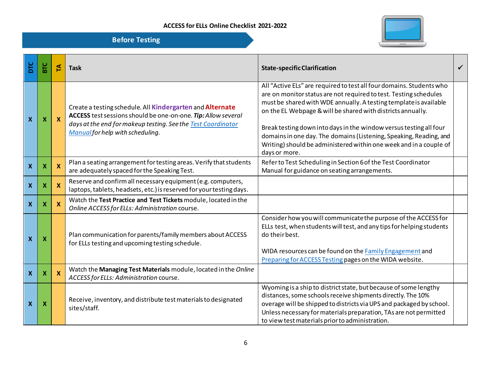

| ЪLС                       | <b>DIS</b>                | 돈                         | <b>Task</b>                                                                                                                                                                                                                    | <b>State-specific Clarification</b>                                                                                                                                                                                                                                                                                                                                                                                                                                                                              |  |
|---------------------------|---------------------------|---------------------------|--------------------------------------------------------------------------------------------------------------------------------------------------------------------------------------------------------------------------------|------------------------------------------------------------------------------------------------------------------------------------------------------------------------------------------------------------------------------------------------------------------------------------------------------------------------------------------------------------------------------------------------------------------------------------------------------------------------------------------------------------------|--|
| $\boldsymbol{\mathsf{X}}$ | $\boldsymbol{\mathsf{x}}$ | $\boldsymbol{X}$          | Create a testing schedule. All Kindergarten and Alternate<br>ACCESS test sessions should be one-on-one. Tip: Allow several<br>days at the end for makeup testing. See the Test Coordinator<br>Manual for help with scheduling. | All "Active ELs" are required to test all four domains. Students who<br>are on monitor status are not required to test. Testing schedules<br>must be shared with WDE annually. A testing template is available<br>on the EL Webpage & will be shared with districts annually.<br>Break testing down into days in the window versus testing all four<br>domains in one day. The domains (Listening, Speaking, Reading, and<br>Writing) should be administered within one week and in a couple of<br>days or more. |  |
| $\boldsymbol{\mathsf{X}}$ | X                         | $\boldsymbol{\mathsf{X}}$ | Plan a seating arrangement for testing areas. Verify that students<br>are adequately spaced for the Speaking Test.                                                                                                             | Refer to Test Scheduling in Section 6 of the Test Coordinator<br>Manual for guidance on seating arrangements.                                                                                                                                                                                                                                                                                                                                                                                                    |  |
| $\boldsymbol{\mathsf{X}}$ | X                         | X                         | Reserve and confirm all necessary equipment (e.g. computers,<br>laptops, tablets, headsets, etc.) is reserved for your testing days.                                                                                           |                                                                                                                                                                                                                                                                                                                                                                                                                                                                                                                  |  |
| $\boldsymbol{\mathsf{X}}$ | х                         | X                         | Watch the Test Practice and Test Tickets module, located in the<br>Online ACCESS for ELLs: Administration course.                                                                                                              |                                                                                                                                                                                                                                                                                                                                                                                                                                                                                                                  |  |
| $\boldsymbol{X}$          | X                         |                           | Plan communication for parents/family members about ACCESS<br>for ELLs testing and upcoming testing schedule.                                                                                                                  | Consider how you will communicate the purpose of the ACCESS for<br>ELLs test, when students will test, and any tips for helping students<br>do their best.<br>WIDA resources can be found on the Family Engagement and<br>Preparing for ACCESS Testing pages on the WIDA website.                                                                                                                                                                                                                                |  |
| $\boldsymbol{\mathsf{X}}$ | х                         | <b>X</b>                  | Watch the Managing Test Materials module, located in the Online<br>ACCESS for ELLs: Administration course.                                                                                                                     |                                                                                                                                                                                                                                                                                                                                                                                                                                                                                                                  |  |
| $\boldsymbol{\mathsf{x}}$ | X                         |                           | Receive, inventory, and distribute test materials to designated<br>sites/staff.                                                                                                                                                | Wyoming is a ship to district state, but because of some lengthy<br>distances, some schools receive shipments directly. The 10%<br>overage will be shipped to districts via UPS and packaged by school.<br>Unless necessary for materials preparation, TAs are not permitted<br>to view test materials prior to administration.                                                                                                                                                                                  |  |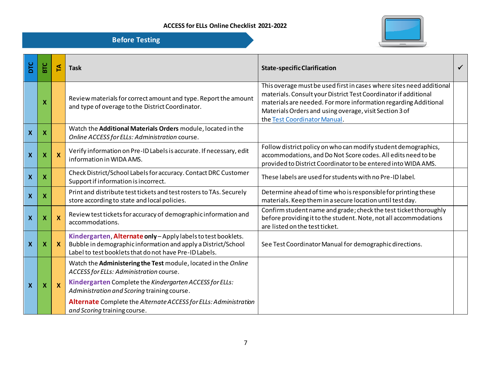

| DTC                       | <b>BTC</b> | 도            | <b>Task</b>                                                                                                                                                                                                                                                                             | <b>State-specific Clarification</b>                                                                                                                                                                                                                                                                  | ✓ |
|---------------------------|------------|--------------|-----------------------------------------------------------------------------------------------------------------------------------------------------------------------------------------------------------------------------------------------------------------------------------------|------------------------------------------------------------------------------------------------------------------------------------------------------------------------------------------------------------------------------------------------------------------------------------------------------|---|
|                           | х          |              | Review materials for correct amount and type. Report the amount<br>and type of overage to the District Coordinator.                                                                                                                                                                     | This overage must be used first in cases where sites need additional<br>materials. Consult your District Test Coordinator if additional<br>materials are needed. For more information regarding Additional<br>Materials Orders and using overage, visit Section 3 of<br>the Test Coordinator Manual. |   |
| $\boldsymbol{\mathsf{X}}$ | х          |              | Watch the Additional Materials Orders module, located in the<br>Online ACCESS for ELLs: Administration course.                                                                                                                                                                          |                                                                                                                                                                                                                                                                                                      |   |
| $\boldsymbol{\mathsf{x}}$ | х          | $\mathbf{x}$ | Verify information on Pre-ID Labels is accurate. If necessary, edit<br>information in WIDA AMS.                                                                                                                                                                                         | Follow district policy on who can modify student demographics,<br>accommodations, and Do Not Score codes. All edits need to be<br>provided to District Coordinator to be entered into WIDA AMS.                                                                                                      |   |
| $\boldsymbol{\mathsf{X}}$ | х          |              | Check District/School Labels for accuracy. Contact DRC Customer<br>Support if information is incorrect.                                                                                                                                                                                 | These labels are used for students with no Pre-ID label.                                                                                                                                                                                                                                             |   |
| $\boldsymbol{\mathsf{x}}$ | х          |              | Print and distribute test tickets and test rosters to TAs. Securely<br>store according to state and local policies.                                                                                                                                                                     | Determine ahead of time who is responsible for printing these<br>materials. Keep them in a secure location until test day.                                                                                                                                                                           |   |
| $\boldsymbol{\mathsf{x}}$ | х          | $\mathbf{x}$ | Review test tickets for accuracy of demographic information and<br>accommodations.                                                                                                                                                                                                      | Confirm student name and grade; check the test ticket thoroughly<br>before providing it to the student. Note, not all accommodations<br>are listed on the test ticket.                                                                                                                               |   |
| $\boldsymbol{X}$          | X          | $\mathbf{x}$ | Kindergarten, Alternate only-Apply labels to test booklets.<br>Bubble in demographic information and apply a District/School<br>Label to test booklets that do not have Pre-ID Labels.                                                                                                  | See Test Coordinator Manual for demographic directions.                                                                                                                                                                                                                                              |   |
| X                         | х          | $\mathbf{x}$ | Watch the Administering the Test module, located in the Online<br>ACCESS for ELLs: Administration course.<br>Kindergarten Complete the Kindergarten ACCESS for ELLs:<br>Administration and Scoring training course.<br>Alternate Complete the Alternate ACCESS for ELLs: Administration |                                                                                                                                                                                                                                                                                                      |   |
|                           |            |              | and Scoring training course.                                                                                                                                                                                                                                                            |                                                                                                                                                                                                                                                                                                      |   |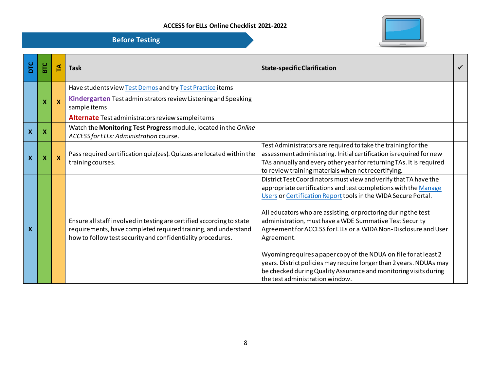

| DTC          | БTC                       | 집                         | <b>Task</b>                                                                                                                                                                                            | <b>State-specific Clarification</b>                                                                                                                                                                                                                                                                                                                                                                                                                                                                                                                                                                                                                                   |  |
|--------------|---------------------------|---------------------------|--------------------------------------------------------------------------------------------------------------------------------------------------------------------------------------------------------|-----------------------------------------------------------------------------------------------------------------------------------------------------------------------------------------------------------------------------------------------------------------------------------------------------------------------------------------------------------------------------------------------------------------------------------------------------------------------------------------------------------------------------------------------------------------------------------------------------------------------------------------------------------------------|--|
|              |                           |                           | Have students view Test Demos and try Test Practice items<br>Kindergarten Test administrators review Listening and Speaking                                                                            |                                                                                                                                                                                                                                                                                                                                                                                                                                                                                                                                                                                                                                                                       |  |
|              | X                         | $\mathbf x$               | sample items                                                                                                                                                                                           |                                                                                                                                                                                                                                                                                                                                                                                                                                                                                                                                                                                                                                                                       |  |
|              |                           |                           | Alternate Test administrators review sample items                                                                                                                                                      |                                                                                                                                                                                                                                                                                                                                                                                                                                                                                                                                                                                                                                                                       |  |
| $\mathbf{x}$ | $\boldsymbol{\mathsf{X}}$ |                           | Watch the Monitoring Test Progress module, located in the Online<br>ACCESS for ELLs: Administration course.                                                                                            |                                                                                                                                                                                                                                                                                                                                                                                                                                                                                                                                                                                                                                                                       |  |
| $\mathbf{x}$ | X                         | $\boldsymbol{\mathsf{x}}$ | Pass required certification quiz (zes). Quizzes are located within the<br>training courses.                                                                                                            | Test Administrators are required to take the training for the<br>assessment administering. Initial certification is required for new<br>TAs annually and every other year for returning TAs. It is required<br>to review training materials when not recertifying.                                                                                                                                                                                                                                                                                                                                                                                                    |  |
| $\mathbf x$  |                           |                           | Ensure all staff involved in testing are certified according to state<br>requirements, have completed required training, and understand<br>how to follow test security and confidentiality procedures. | District Test Coordinators must view and verify that TA have the<br>appropriate certifications and test completions with the Manage<br>Users or Certification Report tools in the WIDA Secure Portal.<br>All educators who are assisting, or proctoring during the test<br>administration, must have a WDE Summative Test Security<br>Agreement for ACCESS for ELLs or a WIDA Non-Disclosure and User<br>Agreement.<br>Wyoming requires a paper copy of the NDUA on file for at least 2<br>years. District policies may require longer than 2 years. NDUAs may<br>be checked during Quality Assurance and monitoring visits during<br>the test administration window. |  |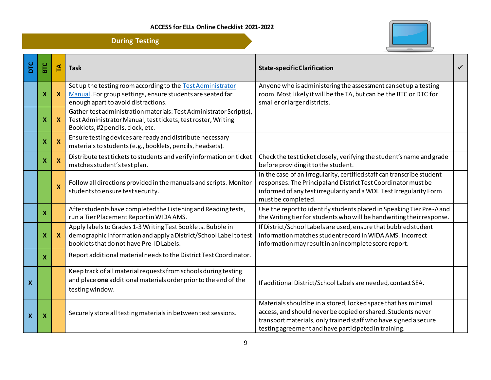**During Testing**



| <b>DIC</b>                | <b>BTC</b>                | £                         | <b>Task</b>                                                                                                                                                                  | <b>State-specific Clarification</b>                                                                                                                                                                                                                        |  |
|---------------------------|---------------------------|---------------------------|------------------------------------------------------------------------------------------------------------------------------------------------------------------------------|------------------------------------------------------------------------------------------------------------------------------------------------------------------------------------------------------------------------------------------------------------|--|
|                           | X                         | <b>X</b>                  | Set up the testing room according to the Test Administrator<br>Manual. For group settings, ensure students are seated far<br>enough apart to avoid distractions.             | Anyone who is administering the assessment can set up a testing<br>room. Most likely it will be the TA, but can be the BTC or DTC for<br>smaller or larger districts.                                                                                      |  |
|                           | X                         | X                         | Gather test administration materials: Test Administrator Script(s),<br>Test Administrator Manual, test tickets, test roster, Writing<br>Booklets, #2 pencils, clock, etc.    |                                                                                                                                                                                                                                                            |  |
|                           | X                         | $\boldsymbol{\mathsf{x}}$ | Ensure testing devices are ready and distribute necessary<br>materials to students (e.g., booklets, pencils, headsets).                                                      |                                                                                                                                                                                                                                                            |  |
|                           | X                         | $\boldsymbol{\mathsf{X}}$ | Distribute test tickets to students and verify information on ticket<br>matches student's test plan.                                                                         | Check the test ticket closely, verifying the student's name and grade<br>before providing it to the student.                                                                                                                                               |  |
|                           |                           | X                         | Follow all directions provided in the manuals and scripts. Monitor<br>students to ensure test security.                                                                      | In the case of an irregularity, certified staff can transcribe student<br>responses. The Principal and District Test Coordinator must be<br>informed of any test irregularity and a WDE Test Irregularity Form<br>must be completed.                       |  |
|                           | X                         |                           | After students have completed the Listening and Reading tests,<br>run a Tier Placement Report in WIDA AMS.                                                                   | Use the report to identify students placed in Speaking Tier Pre-Aand<br>the Writing tier for students who will be handwriting their response.                                                                                                              |  |
|                           | X                         | X                         | Apply labels to Grades 1-3 Writing Test Booklets. Bubble in<br>demographic information and apply a District/School Label to test<br>booklets that do not have Pre-ID Labels. | If District/School Labels are used, ensure that bubbled student<br>information matches student record in WIDA AMS. Incorrect<br>information may result in an incomplete score report.                                                                      |  |
|                           | $\mathbf x$               |                           | Report additional material needs to the District Test Coordinator.                                                                                                           |                                                                                                                                                                                                                                                            |  |
| X                         |                           |                           | Keep track of all material requests from schools during testing<br>and place one additional materials order prior to the end of the<br>testing window.                       | If additional District/School Labels are needed, contact SEA.                                                                                                                                                                                              |  |
| $\boldsymbol{\mathsf{x}}$ | $\boldsymbol{\mathsf{x}}$ |                           | Securely store all testing materials in between test sessions.                                                                                                               | Materials should be in a stored, locked space that has minimal<br>access, and should never be copied or shared. Students never<br>transport materials, only trained staff who have signed a secure<br>testing agreement and have participated in training. |  |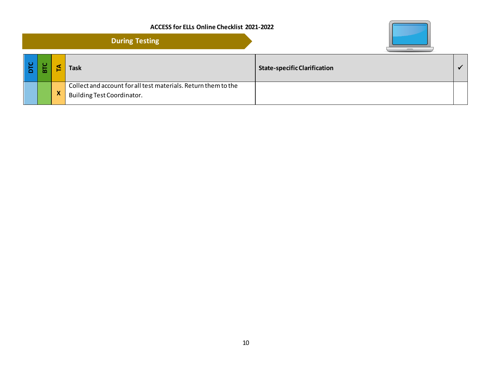|                          |             | <b>During Testing</b>                                                                        |                                     |  |
|--------------------------|-------------|----------------------------------------------------------------------------------------------|-------------------------------------|--|
| $\overline{\phantom{a}}$ |             | <b>Task</b>                                                                                  | <b>State-specific Clarification</b> |  |
|                          | $\mathbf x$ | Collect and account for all test materials. Return them to the<br>Building Test Coordinator. |                                     |  |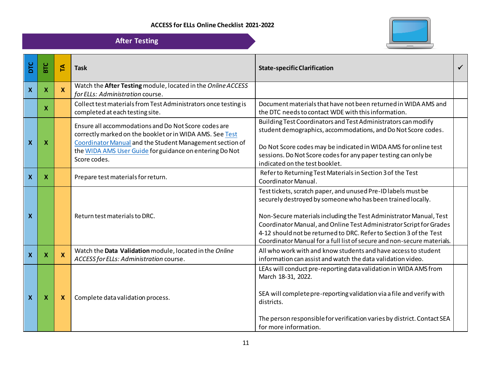

|                           |     |                           | <b>After Testing</b>                                                                                                                                                         |                                                                                                                                                                                                                                                                                                                                                                                                                           |              |
|---------------------------|-----|---------------------------|------------------------------------------------------------------------------------------------------------------------------------------------------------------------------|---------------------------------------------------------------------------------------------------------------------------------------------------------------------------------------------------------------------------------------------------------------------------------------------------------------------------------------------------------------------------------------------------------------------------|--------------|
| DТC                       | BTC | 돈                         | <b>Task</b>                                                                                                                                                                  | <b>State-specific Clarification</b>                                                                                                                                                                                                                                                                                                                                                                                       | $\checkmark$ |
| $\boldsymbol{\mathsf{X}}$ | X.  | $\mathbf{x}$              | Watch the After Testing module, located in the Online ACCESS<br>for ELLs: Administration course.                                                                             |                                                                                                                                                                                                                                                                                                                                                                                                                           |              |
|                           | X   |                           | Collect test materials from Test Administrators once testing is<br>completed at each testing site.                                                                           | Document materials that have not been returned in WIDA AMS and<br>the DTC needs to contact WDE with this information.                                                                                                                                                                                                                                                                                                     |              |
| $\boldsymbol{\mathsf{x}}$ | X   |                           | Ensure all accommodations and Do Not Score codes are<br>correctly marked on the booklet or in WIDA AMS. See Test<br>Coordinator Manual and the Student Management section of | Building Test Coordinators and Test Administrators can modify<br>student demographics, accommodations, and Do Not Score codes.<br>Do Not Score codes may be indicated in WIDA AMS for online test                                                                                                                                                                                                                         |              |
|                           |     |                           | the WIDA AMS User Guide for guidance on entering Do Not<br>Score codes.                                                                                                      | sessions. Do Not Score codes for any paper testing can only be<br>indicated on the test booklet.                                                                                                                                                                                                                                                                                                                          |              |
| $\boldsymbol{X}$          | x   |                           | Prepare test materials for return.                                                                                                                                           | Refer to Returning Test Materials in Section 3 of the Test<br>Coordinator Manual.                                                                                                                                                                                                                                                                                                                                         |              |
| $\boldsymbol{\mathsf{X}}$ |     |                           | Return test materials to DRC.                                                                                                                                                | Test tickets, scratch paper, and unused Pre-ID labels must be<br>securely destroyed by someone who has been trained locally.<br>Non-Secure materials including the Test Administrator Manual, Test<br>Coordinator Manual, and Online Test Administrator Script for Grades<br>4-12 should not be returned to DRC. Refer to Section 3 of the Test<br>Coordinator Manual for a full list of secure and non-secure materials. |              |
| $\boldsymbol{X}$          | X   | $\boldsymbol{\mathsf{X}}$ | Watch the Data Validation module, located in the Online<br>ACCESS for ELLs: Administration course.                                                                           | All who work with and know students and have access to student<br>information can assist and watch the data validation video.                                                                                                                                                                                                                                                                                             |              |
| $\boldsymbol{X}$          | X   | $\boldsymbol{\mathsf{x}}$ | Complete data validation process.                                                                                                                                            | LEAs will conduct pre-reporting data validation in WIDA AMS from<br>March 18-31, 2022.<br>SEA will complete pre-reporting validation via a file and verify with<br>districts.<br>The person responsible for verification varies by district. Contact SEA                                                                                                                                                                  |              |
|                           |     |                           |                                                                                                                                                                              | for more information.                                                                                                                                                                                                                                                                                                                                                                                                     |              |